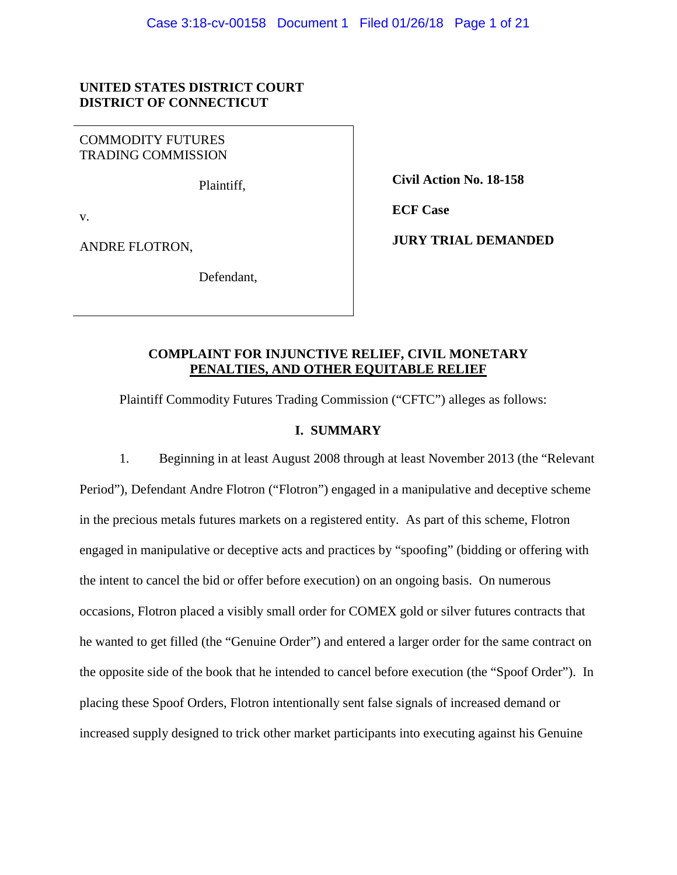# **UNITED STATES DISTRICT COURT DISTRICT OF CONNECTICUT**

COMMODITY FUTURES TRADING COMMISSION

Plaintiff,

v.

ANDRE FLOTRON,

Defendant,

 **Civil Action No. 18-158**

 **ECF Case**

 **JURY TRIAL DEMANDED**

# **COMPLAINT FOR INJUNCTIVE RELIEF, CIVIL MONETARY PENALTIES, AND OTHER EQUITABLE RELIEF**

Plaintiff Commodity Futures Trading Commission ("CFTC") alleges as follows:

# **I. SUMMARY**

1. Beginning in at least August 2008 through at least November 2013 (the "Relevant Period"), Defendant Andre Flotron ("Flotron") engaged in a manipulative and deceptive scheme in the precious metals futures markets on a registered entity. As part of this scheme, Flotron engaged in manipulative or deceptive acts and practices by "spoofing" (bidding or offering with the intent to cancel the bid or offer before execution) on an ongoing basis. On numerous occasions, Flotron placed a visibly small order for COMEX gold or silver futures contracts that he wanted to get filled (the "Genuine Order") and entered a larger order for the same contract on the opposite side of the book that he intended to cancel before execution (the "Spoof Order"). In placing these Spoof Orders, Flotron intentionally sent false signals of increased demand or increased supply designed to trick other market participants into executing against his Genuine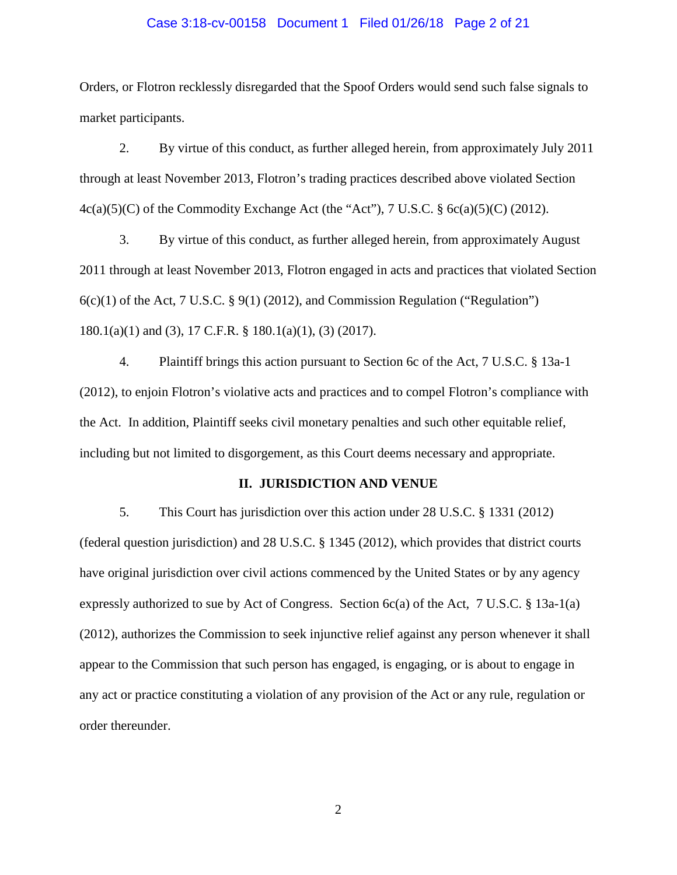#### Case 3:18-cv-00158 Document 1 Filed 01/26/18 Page 2 of 21

Orders, or Flotron recklessly disregarded that the Spoof Orders would send such false signals to market participants.

2. By virtue of this conduct, as further alleged herein, from approximately July 2011 through at least November 2013, Flotron's trading practices described above violated Section  $4c(a)(5)(C)$  of the Commodity Exchange Act (the "Act"), 7 U.S.C. §  $6c(a)(5)(C)$  (2012).

3. By virtue of this conduct, as further alleged herein, from approximately August 2011 through at least November 2013, Flotron engaged in acts and practices that violated Section  $6(c)(1)$  of the Act, 7 U.S.C. § 9(1) (2012), and Commission Regulation ("Regulation") 180.1(a)(1) and (3), 17 C.F.R. § 180.1(a)(1), (3) (2017).

4. Plaintiff brings this action pursuant to Section 6c of the Act, 7 U.S.C. § 13a-1 (2012), to enjoin Flotron's violative acts and practices and to compel Flotron's compliance with the Act. In addition, Plaintiff seeks civil monetary penalties and such other equitable relief, including but not limited to disgorgement, as this Court deems necessary and appropriate.

### **II. JURISDICTION AND VENUE**

5. This Court has jurisdiction over this action under 28 U.S.C. § 1331 (2012) (federal question jurisdiction) and 28 U.S.C. § 1345 (2012), which provides that district courts have original jurisdiction over civil actions commenced by the United States or by any agency expressly authorized to sue by Act of Congress. Section  $6c(a)$  of the Act, 7 U.S.C. § 13a-1(a) (2012), authorizes the Commission to seek injunctive relief against any person whenever it shall appear to the Commission that such person has engaged, is engaging, or is about to engage in any act or practice constituting a violation of any provision of the Act or any rule, regulation or order thereunder.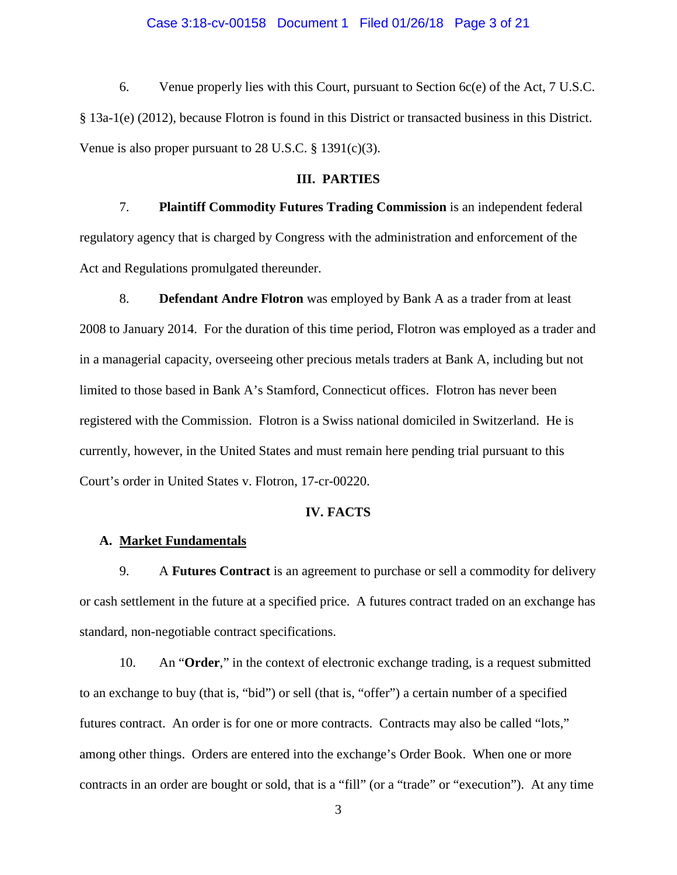#### Case 3:18-cv-00158 Document 1 Filed 01/26/18 Page 3 of 21

6. Venue properly lies with this Court, pursuant to Section 6c(e) of the Act, 7 U.S.C. § 13a-1(e) (2012), because Flotron is found in this District or transacted business in this District. Venue is also proper pursuant to 28 U.S.C.  $\S$  1391(c)(3).

# **III. PARTIES**

7. **Plaintiff Commodity Futures Trading Commission** is an independent federal regulatory agency that is charged by Congress with the administration and enforcement of the Act and Regulations promulgated thereunder.

8. **Defendant Andre Flotron** was employed by Bank A as a trader from at least 2008 to January 2014. For the duration of this time period, Flotron was employed as a trader and in a managerial capacity, overseeing other precious metals traders at Bank A, including but not limited to those based in Bank A's Stamford, Connecticut offices. Flotron has never been registered with the Commission. Flotron is a Swiss national domiciled in Switzerland. He is currently, however, in the United States and must remain here pending trial pursuant to this Court's order in United States v. Flotron, 17-cr-00220.

# **IV. FACTS**

# **A. Market Fundamentals**

9. A **Futures Contract** is an agreement to purchase or sell a commodity for delivery or cash settlement in the future at a specified price. A futures contract traded on an exchange has standard, non-negotiable contract specifications.

10. An "**Order**," in the context of electronic exchange trading, is a request submitted to an exchange to buy (that is, "bid") or sell (that is, "offer") a certain number of a specified futures contract. An order is for one or more contracts. Contracts may also be called "lots," among other things. Orders are entered into the exchange's Order Book. When one or more contracts in an order are bought or sold, that is a "fill" (or a "trade" or "execution"). At any time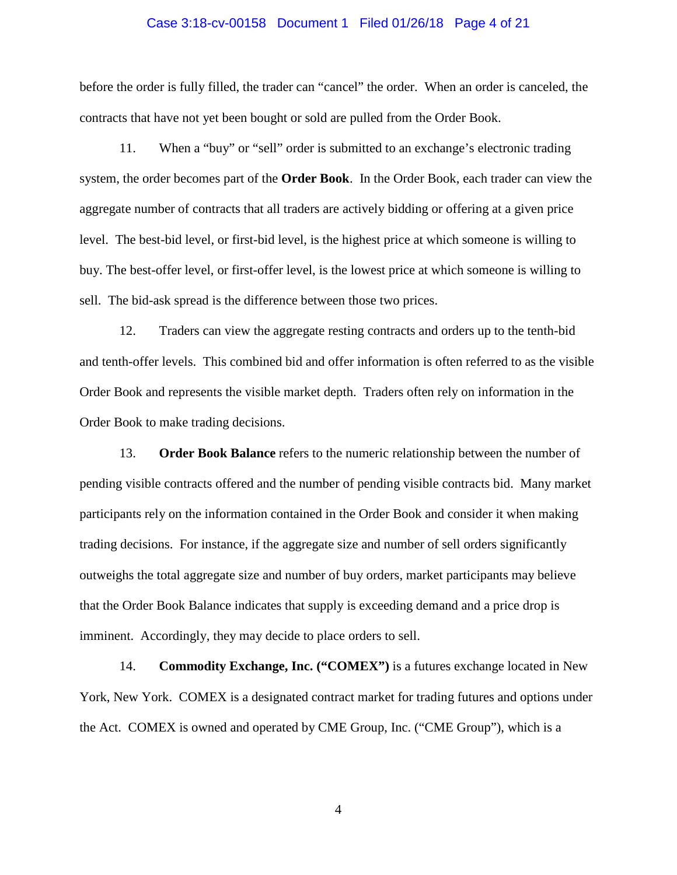#### Case 3:18-cv-00158 Document 1 Filed 01/26/18 Page 4 of 21

before the order is fully filled, the trader can "cancel" the order. When an order is canceled, the contracts that have not yet been bought or sold are pulled from the Order Book.

11. When a "buy" or "sell" order is submitted to an exchange's electronic trading system, the order becomes part of the **Order Book**. In the Order Book, each trader can view the aggregate number of contracts that all traders are actively bidding or offering at a given price level. The best-bid level, or first-bid level, is the highest price at which someone is willing to buy. The best-offer level, or first-offer level, is the lowest price at which someone is willing to sell. The bid-ask spread is the difference between those two prices.

12. Traders can view the aggregate resting contracts and orders up to the tenth-bid and tenth-offer levels. This combined bid and offer information is often referred to as the visible Order Book and represents the visible market depth. Traders often rely on information in the Order Book to make trading decisions.

13. **Order Book Balance** refers to the numeric relationship between the number of pending visible contracts offered and the number of pending visible contracts bid. Many market participants rely on the information contained in the Order Book and consider it when making trading decisions. For instance, if the aggregate size and number of sell orders significantly outweighs the total aggregate size and number of buy orders, market participants may believe that the Order Book Balance indicates that supply is exceeding demand and a price drop is imminent. Accordingly, they may decide to place orders to sell.

14. **Commodity Exchange, Inc. ("COMEX")** is a futures exchange located in New York, New York. COMEX is a designated contract market for trading futures and options under the Act. COMEX is owned and operated by CME Group, Inc. ("CME Group"), which is a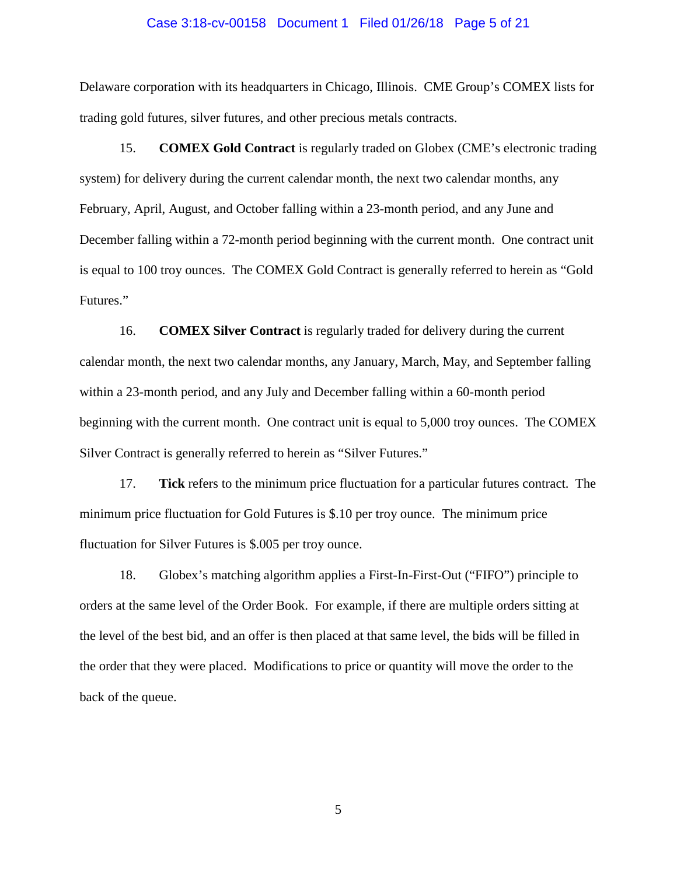#### Case 3:18-cv-00158 Document 1 Filed 01/26/18 Page 5 of 21

Delaware corporation with its headquarters in Chicago, Illinois. CME Group's COMEX lists for trading gold futures, silver futures, and other precious metals contracts.

15. **COMEX Gold Contract** is regularly traded on Globex (CME's electronic trading system) for delivery during the current calendar month, the next two calendar months, any February, April, August, and October falling within a 23-month period, and any June and December falling within a 72-month period beginning with the current month. One contract unit is equal to 100 troy ounces. The COMEX Gold Contract is generally referred to herein as "Gold Futures."

16. **COMEX Silver Contract** is regularly traded for delivery during the current calendar month, the next two calendar months, any January, March, May, and September falling within a 23-month period, and any July and December falling within a 60-month period beginning with the current month. One contract unit is equal to 5,000 troy ounces. The COMEX Silver Contract is generally referred to herein as "Silver Futures."

17. **Tick** refers to the minimum price fluctuation for a particular futures contract. The minimum price fluctuation for Gold Futures is \$.10 per troy ounce. The minimum price fluctuation for Silver Futures is \$.005 per troy ounce.

18. Globex's matching algorithm applies a First-In-First-Out ("FIFO") principle to orders at the same level of the Order Book. For example, if there are multiple orders sitting at the level of the best bid, and an offer is then placed at that same level, the bids will be filled in the order that they were placed. Modifications to price or quantity will move the order to the back of the queue.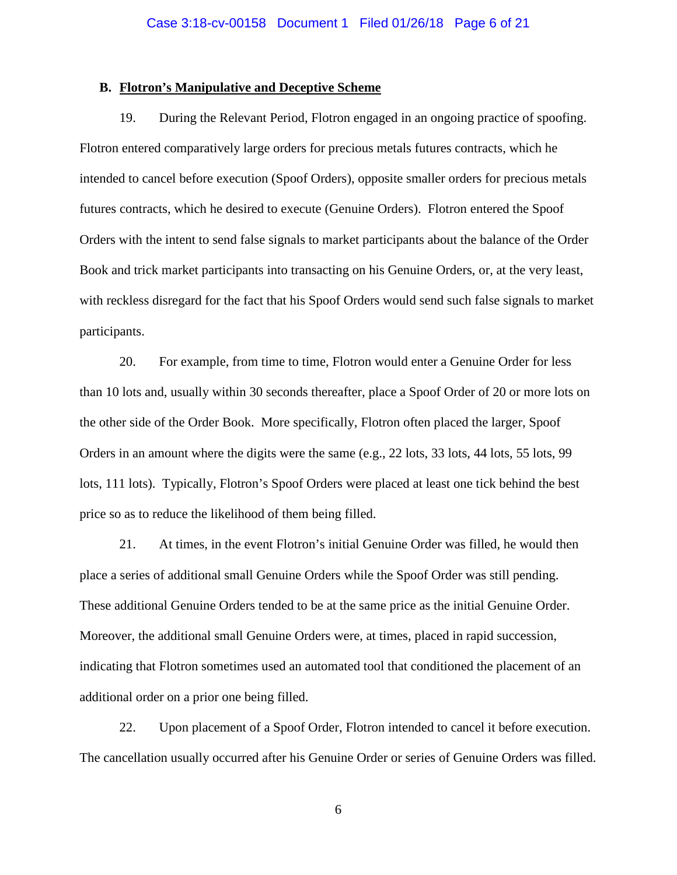#### **B. Flotron's Manipulative and Deceptive Scheme**

19. During the Relevant Period, Flotron engaged in an ongoing practice of spoofing. Flotron entered comparatively large orders for precious metals futures contracts, which he intended to cancel before execution (Spoof Orders), opposite smaller orders for precious metals futures contracts, which he desired to execute (Genuine Orders). Flotron entered the Spoof Orders with the intent to send false signals to market participants about the balance of the Order Book and trick market participants into transacting on his Genuine Orders, or, at the very least, with reckless disregard for the fact that his Spoof Orders would send such false signals to market participants.

20. For example, from time to time, Flotron would enter a Genuine Order for less than 10 lots and, usually within 30 seconds thereafter, place a Spoof Order of 20 or more lots on the other side of the Order Book. More specifically, Flotron often placed the larger, Spoof Orders in an amount where the digits were the same (e.g., 22 lots, 33 lots, 44 lots, 55 lots, 99 lots, 111 lots). Typically, Flotron's Spoof Orders were placed at least one tick behind the best price so as to reduce the likelihood of them being filled.

21. At times, in the event Flotron's initial Genuine Order was filled, he would then place a series of additional small Genuine Orders while the Spoof Order was still pending. These additional Genuine Orders tended to be at the same price as the initial Genuine Order. Moreover, the additional small Genuine Orders were, at times, placed in rapid succession, indicating that Flotron sometimes used an automated tool that conditioned the placement of an additional order on a prior one being filled.

22. Upon placement of a Spoof Order, Flotron intended to cancel it before execution. The cancellation usually occurred after his Genuine Order or series of Genuine Orders was filled.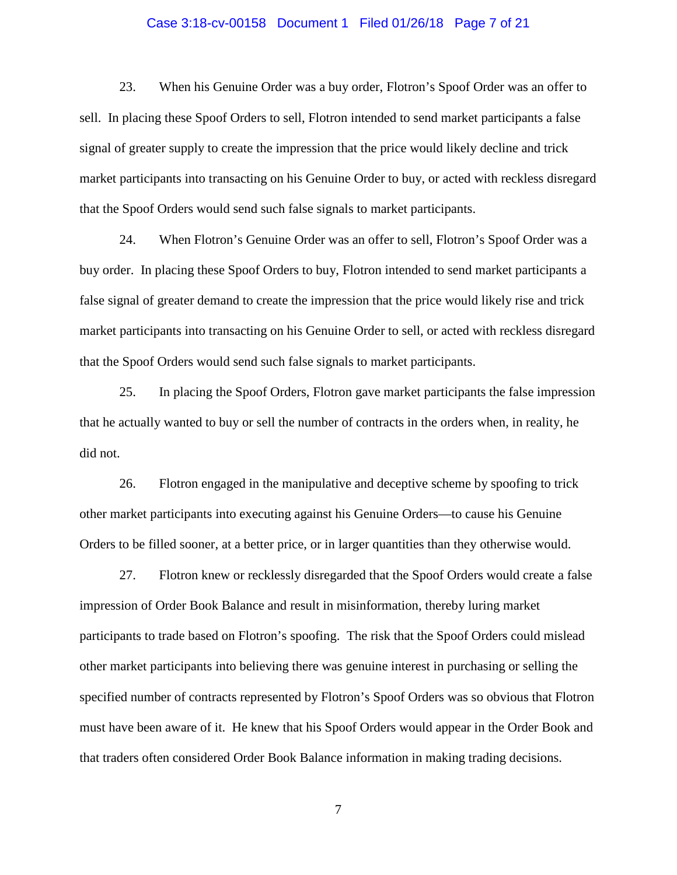#### Case 3:18-cv-00158 Document 1 Filed 01/26/18 Page 7 of 21

23. When his Genuine Order was a buy order, Flotron's Spoof Order was an offer to sell. In placing these Spoof Orders to sell, Flotron intended to send market participants a false signal of greater supply to create the impression that the price would likely decline and trick market participants into transacting on his Genuine Order to buy, or acted with reckless disregard that the Spoof Orders would send such false signals to market participants.

24. When Flotron's Genuine Order was an offer to sell, Flotron's Spoof Order was a buy order. In placing these Spoof Orders to buy, Flotron intended to send market participants a false signal of greater demand to create the impression that the price would likely rise and trick market participants into transacting on his Genuine Order to sell, or acted with reckless disregard that the Spoof Orders would send such false signals to market participants.

25. In placing the Spoof Orders, Flotron gave market participants the false impression that he actually wanted to buy or sell the number of contracts in the orders when, in reality, he did not.

26. Flotron engaged in the manipulative and deceptive scheme by spoofing to trick other market participants into executing against his Genuine Orders—to cause his Genuine Orders to be filled sooner, at a better price, or in larger quantities than they otherwise would.

27. Flotron knew or recklessly disregarded that the Spoof Orders would create a false impression of Order Book Balance and result in misinformation, thereby luring market participants to trade based on Flotron's spoofing. The risk that the Spoof Orders could mislead other market participants into believing there was genuine interest in purchasing or selling the specified number of contracts represented by Flotron's Spoof Orders was so obvious that Flotron must have been aware of it. He knew that his Spoof Orders would appear in the Order Book and that traders often considered Order Book Balance information in making trading decisions.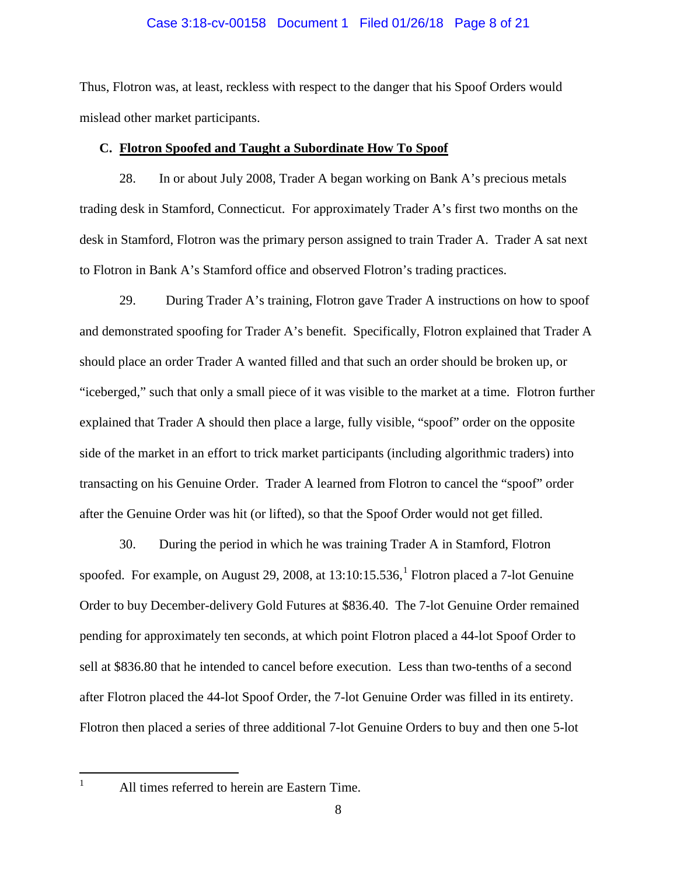### Case 3:18-cv-00158 Document 1 Filed 01/26/18 Page 8 of 21

Thus, Flotron was, at least, reckless with respect to the danger that his Spoof Orders would mislead other market participants.

#### **C. Flotron Spoofed and Taught a Subordinate How To Spoof**

28. In or about July 2008, Trader A began working on Bank A's precious metals trading desk in Stamford, Connecticut. For approximately Trader A's first two months on the desk in Stamford, Flotron was the primary person assigned to train Trader A. Trader A sat next to Flotron in Bank A's Stamford office and observed Flotron's trading practices.

29. During Trader A's training, Flotron gave Trader A instructions on how to spoof and demonstrated spoofing for Trader A's benefit. Specifically, Flotron explained that Trader A should place an order Trader A wanted filled and that such an order should be broken up, or "iceberged," such that only a small piece of it was visible to the market at a time. Flotron further explained that Trader A should then place a large, fully visible, "spoof" order on the opposite side of the market in an effort to trick market participants (including algorithmic traders) into transacting on his Genuine Order. Trader A learned from Flotron to cancel the "spoof" order after the Genuine Order was hit (or lifted), so that the Spoof Order would not get filled.

30. During the period in which he was training Trader A in Stamford, Flotron spoofed. For example, on August 29, 2008, at [1](#page-7-0)3:10:15.536,<sup>1</sup> Flotron placed a 7-lot Genuine Order to buy December-delivery Gold Futures at \$836.40. The 7-lot Genuine Order remained pending for approximately ten seconds, at which point Flotron placed a 44-lot Spoof Order to sell at \$836.80 that he intended to cancel before execution. Less than two-tenths of a second after Flotron placed the 44-lot Spoof Order, the 7-lot Genuine Order was filled in its entirety. Flotron then placed a series of three additional 7-lot Genuine Orders to buy and then one 5-lot

<span id="page-7-0"></span> $1$  All times referred to herein are Eastern Time.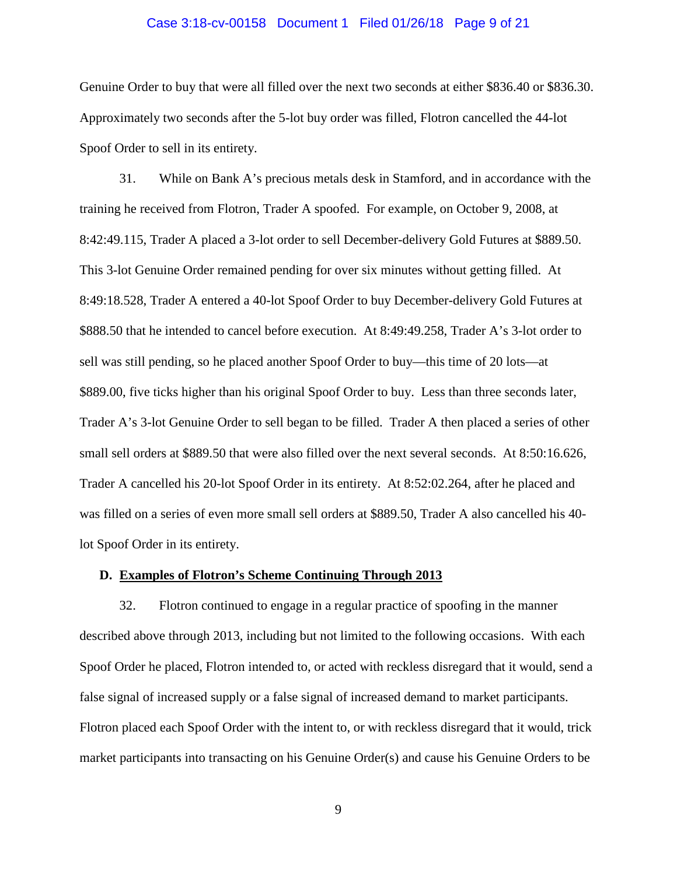#### Case 3:18-cv-00158 Document 1 Filed 01/26/18 Page 9 of 21

Genuine Order to buy that were all filled over the next two seconds at either \$836.40 or \$836.30. Approximately two seconds after the 5-lot buy order was filled, Flotron cancelled the 44-lot Spoof Order to sell in its entirety.

31. While on Bank A's precious metals desk in Stamford, and in accordance with the training he received from Flotron, Trader A spoofed. For example, on October 9, 2008, at 8:42:49.115, Trader A placed a 3-lot order to sell December-delivery Gold Futures at \$889.50. This 3-lot Genuine Order remained pending for over six minutes without getting filled. At 8:49:18.528, Trader A entered a 40-lot Spoof Order to buy December-delivery Gold Futures at \$888.50 that he intended to cancel before execution. At 8:49:49.258, Trader A's 3-lot order to sell was still pending, so he placed another Spoof Order to buy—this time of 20 lots—at \$889.00, five ticks higher than his original Spoof Order to buy. Less than three seconds later, Trader A's 3-lot Genuine Order to sell began to be filled. Trader A then placed a series of other small sell orders at \$889.50 that were also filled over the next several seconds. At 8:50:16.626, Trader A cancelled his 20-lot Spoof Order in its entirety. At 8:52:02.264, after he placed and was filled on a series of even more small sell orders at \$889.50, Trader A also cancelled his 40 lot Spoof Order in its entirety.

#### **D. Examples of Flotron's Scheme Continuing Through 2013**

32. Flotron continued to engage in a regular practice of spoofing in the manner described above through 2013, including but not limited to the following occasions. With each Spoof Order he placed, Flotron intended to, or acted with reckless disregard that it would, send a false signal of increased supply or a false signal of increased demand to market participants. Flotron placed each Spoof Order with the intent to, or with reckless disregard that it would, trick market participants into transacting on his Genuine Order(s) and cause his Genuine Orders to be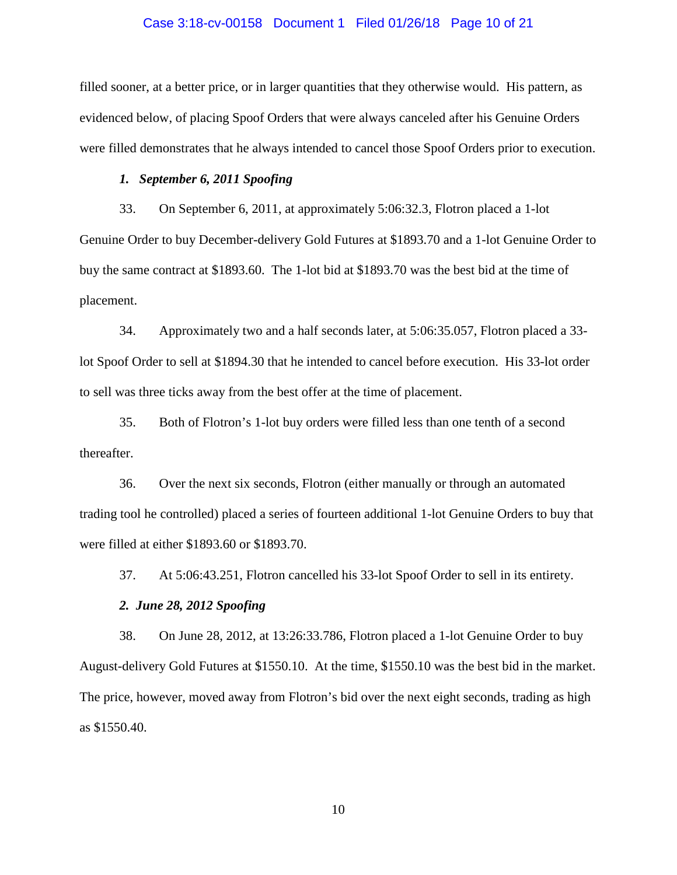#### Case 3:18-cv-00158 Document 1 Filed 01/26/18 Page 10 of 21

filled sooner, at a better price, or in larger quantities that they otherwise would. His pattern, as evidenced below, of placing Spoof Orders that were always canceled after his Genuine Orders were filled demonstrates that he always intended to cancel those Spoof Orders prior to execution.

### *1. September 6, 2011 Spoofing*

33. On September 6, 2011, at approximately 5:06:32.3, Flotron placed a 1-lot Genuine Order to buy December-delivery Gold Futures at \$1893.70 and a 1-lot Genuine Order to buy the same contract at \$1893.60. The 1-lot bid at \$1893.70 was the best bid at the time of placement.

34. Approximately two and a half seconds later, at 5:06:35.057, Flotron placed a 33 lot Spoof Order to sell at \$1894.30 that he intended to cancel before execution. His 33-lot order to sell was three ticks away from the best offer at the time of placement.

35. Both of Flotron's 1-lot buy orders were filled less than one tenth of a second thereafter.

36. Over the next six seconds, Flotron (either manually or through an automated trading tool he controlled) placed a series of fourteen additional 1-lot Genuine Orders to buy that were filled at either \$1893.60 or \$1893.70.

37. At 5:06:43.251, Flotron cancelled his 33-lot Spoof Order to sell in its entirety.

# *2. June 28, 2012 Spoofing*

38. On June 28, 2012, at 13:26:33.786, Flotron placed a 1-lot Genuine Order to buy August-delivery Gold Futures at \$1550.10. At the time, \$1550.10 was the best bid in the market. The price, however, moved away from Flotron's bid over the next eight seconds, trading as high as \$1550.40.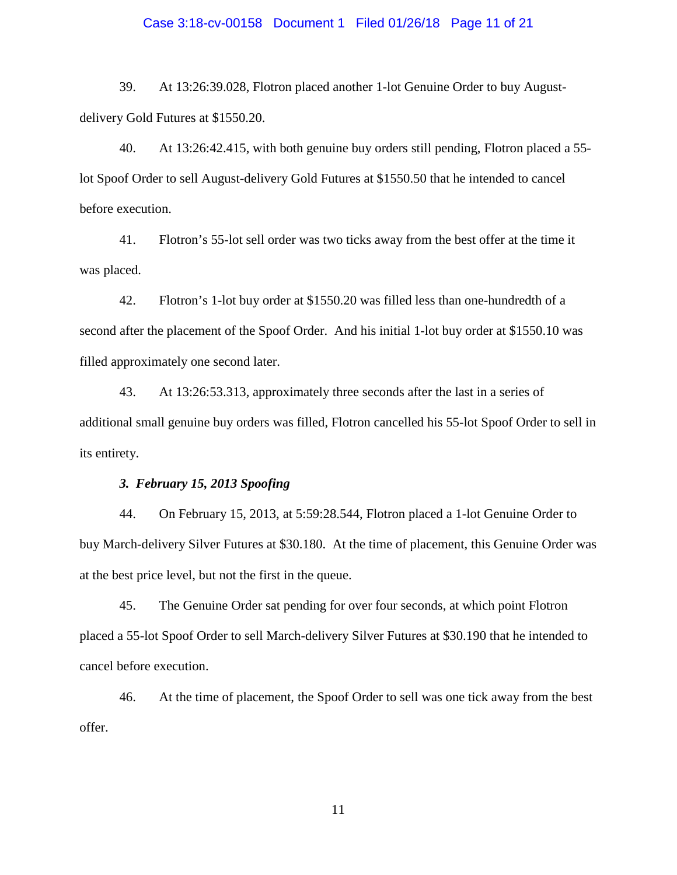#### Case 3:18-cv-00158 Document 1 Filed 01/26/18 Page 11 of 21

39. At 13:26:39.028, Flotron placed another 1-lot Genuine Order to buy Augustdelivery Gold Futures at \$1550.20.

40. At 13:26:42.415, with both genuine buy orders still pending, Flotron placed a 55 lot Spoof Order to sell August-delivery Gold Futures at \$1550.50 that he intended to cancel before execution.

41. Flotron's 55-lot sell order was two ticks away from the best offer at the time it was placed.

42. Flotron's 1-lot buy order at \$1550.20 was filled less than one-hundredth of a second after the placement of the Spoof Order. And his initial 1-lot buy order at \$1550.10 was filled approximately one second later.

43. At 13:26:53.313, approximately three seconds after the last in a series of additional small genuine buy orders was filled, Flotron cancelled his 55-lot Spoof Order to sell in its entirety.

### *3. February 15, 2013 Spoofing*

44. On February 15, 2013, at 5:59:28.544, Flotron placed a 1-lot Genuine Order to buy March-delivery Silver Futures at \$30.180. At the time of placement, this Genuine Order was at the best price level, but not the first in the queue.

45. The Genuine Order sat pending for over four seconds, at which point Flotron placed a 55-lot Spoof Order to sell March-delivery Silver Futures at \$30.190 that he intended to cancel before execution.

46. At the time of placement, the Spoof Order to sell was one tick away from the best offer.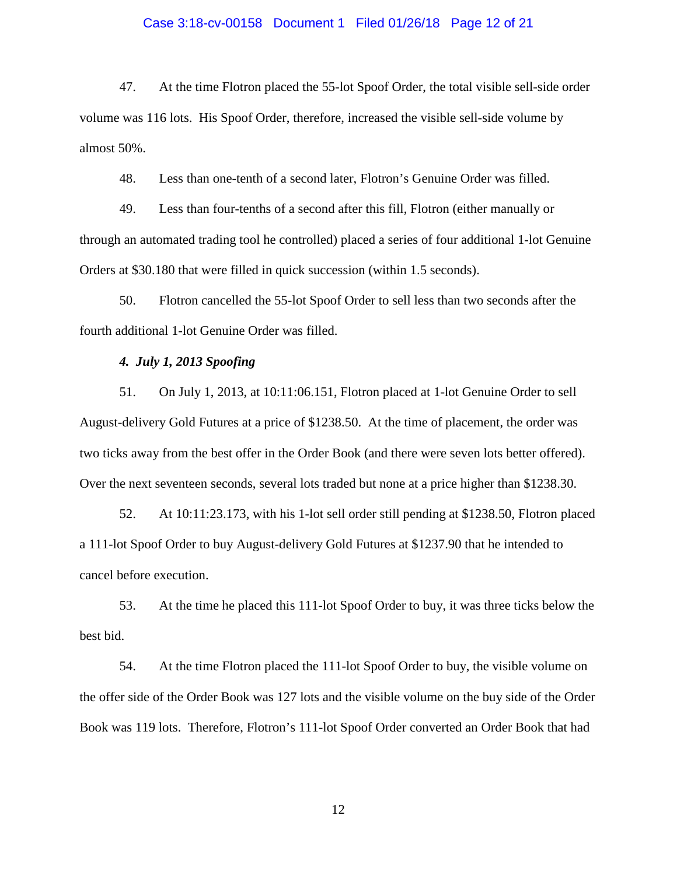#### Case 3:18-cv-00158 Document 1 Filed 01/26/18 Page 12 of 21

47. At the time Flotron placed the 55-lot Spoof Order, the total visible sell-side order volume was 116 lots. His Spoof Order, therefore, increased the visible sell-side volume by almost 50%.

48. Less than one-tenth of a second later, Flotron's Genuine Order was filled.

49. Less than four-tenths of a second after this fill, Flotron (either manually or through an automated trading tool he controlled) placed a series of four additional 1-lot Genuine Orders at \$30.180 that were filled in quick succession (within 1.5 seconds).

50. Flotron cancelled the 55-lot Spoof Order to sell less than two seconds after the fourth additional 1-lot Genuine Order was filled.

# *4. July 1, 2013 Spoofing*

51. On July 1, 2013, at 10:11:06.151, Flotron placed at 1-lot Genuine Order to sell August-delivery Gold Futures at a price of \$1238.50. At the time of placement, the order was two ticks away from the best offer in the Order Book (and there were seven lots better offered). Over the next seventeen seconds, several lots traded but none at a price higher than \$1238.30.

52. At 10:11:23.173, with his 1-lot sell order still pending at \$1238.50, Flotron placed a 111-lot Spoof Order to buy August-delivery Gold Futures at \$1237.90 that he intended to cancel before execution.

53. At the time he placed this 111-lot Spoof Order to buy, it was three ticks below the best bid.

54. At the time Flotron placed the 111-lot Spoof Order to buy, the visible volume on the offer side of the Order Book was 127 lots and the visible volume on the buy side of the Order Book was 119 lots. Therefore, Flotron's 111-lot Spoof Order converted an Order Book that had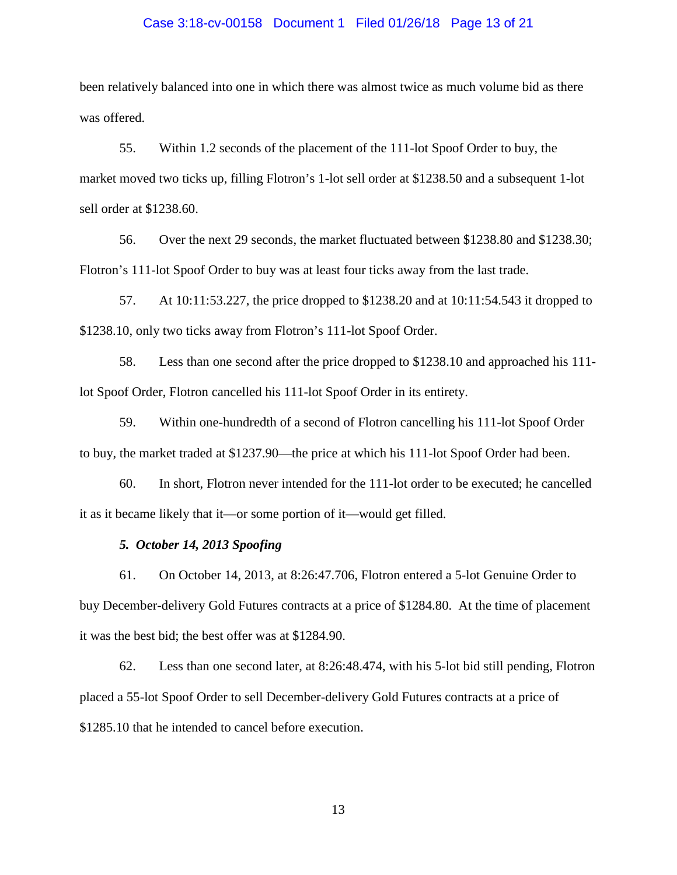#### Case 3:18-cv-00158 Document 1 Filed 01/26/18 Page 13 of 21

been relatively balanced into one in which there was almost twice as much volume bid as there was offered.

55. Within 1.2 seconds of the placement of the 111-lot Spoof Order to buy, the market moved two ticks up, filling Flotron's 1-lot sell order at \$1238.50 and a subsequent 1-lot sell order at \$1238.60.

56. Over the next 29 seconds, the market fluctuated between \$1238.80 and \$1238.30; Flotron's 111-lot Spoof Order to buy was at least four ticks away from the last trade.

57. At 10:11:53.227, the price dropped to \$1238.20 and at 10:11:54.543 it dropped to \$1238.10, only two ticks away from Flotron's 111-lot Spoof Order.

58. Less than one second after the price dropped to \$1238.10 and approached his 111 lot Spoof Order, Flotron cancelled his 111-lot Spoof Order in its entirety.

59. Within one-hundredth of a second of Flotron cancelling his 111-lot Spoof Order to buy, the market traded at \$1237.90—the price at which his 111-lot Spoof Order had been.

60. In short, Flotron never intended for the 111-lot order to be executed; he cancelled it as it became likely that it—or some portion of it—would get filled.

## *5. October 14, 2013 Spoofing*

61. On October 14, 2013, at 8:26:47.706, Flotron entered a 5-lot Genuine Order to buy December-delivery Gold Futures contracts at a price of \$1284.80. At the time of placement it was the best bid; the best offer was at \$1284.90.

62. Less than one second later, at 8:26:48.474, with his 5-lot bid still pending, Flotron placed a 55-lot Spoof Order to sell December-delivery Gold Futures contracts at a price of \$1285.10 that he intended to cancel before execution.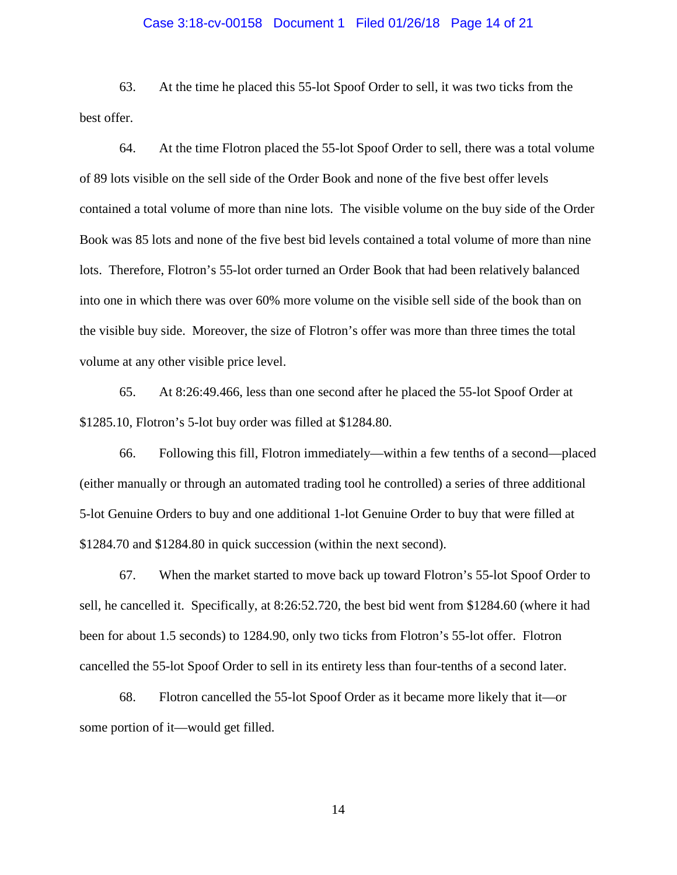#### Case 3:18-cv-00158 Document 1 Filed 01/26/18 Page 14 of 21

63. At the time he placed this 55-lot Spoof Order to sell, it was two ticks from the best offer.

64. At the time Flotron placed the 55-lot Spoof Order to sell, there was a total volume of 89 lots visible on the sell side of the Order Book and none of the five best offer levels contained a total volume of more than nine lots. The visible volume on the buy side of the Order Book was 85 lots and none of the five best bid levels contained a total volume of more than nine lots. Therefore, Flotron's 55-lot order turned an Order Book that had been relatively balanced into one in which there was over 60% more volume on the visible sell side of the book than on the visible buy side. Moreover, the size of Flotron's offer was more than three times the total volume at any other visible price level.

65. At 8:26:49.466, less than one second after he placed the 55-lot Spoof Order at \$1285.10, Flotron's 5-lot buy order was filled at \$1284.80.

66. Following this fill, Flotron immediately—within a few tenths of a second—placed (either manually or through an automated trading tool he controlled) a series of three additional 5-lot Genuine Orders to buy and one additional 1-lot Genuine Order to buy that were filled at \$1284.70 and \$1284.80 in quick succession (within the next second).

67. When the market started to move back up toward Flotron's 55-lot Spoof Order to sell, he cancelled it. Specifically, at 8:26:52.720, the best bid went from \$1284.60 (where it had been for about 1.5 seconds) to 1284.90, only two ticks from Flotron's 55-lot offer. Flotron cancelled the 55-lot Spoof Order to sell in its entirety less than four-tenths of a second later.

68. Flotron cancelled the 55-lot Spoof Order as it became more likely that it—or some portion of it—would get filled.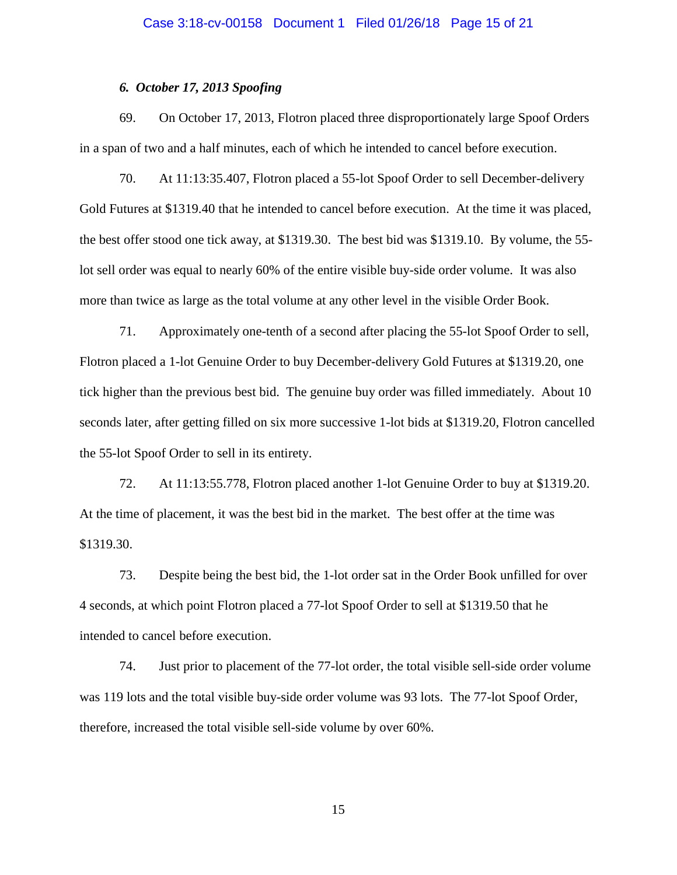# *6. October 17, 2013 Spoofing*

69. On October 17, 2013, Flotron placed three disproportionately large Spoof Orders in a span of two and a half minutes, each of which he intended to cancel before execution.

70. At 11:13:35.407, Flotron placed a 55-lot Spoof Order to sell December-delivery Gold Futures at \$1319.40 that he intended to cancel before execution. At the time it was placed, the best offer stood one tick away, at \$1319.30. The best bid was \$1319.10. By volume, the 55 lot sell order was equal to nearly 60% of the entire visible buy-side order volume. It was also more than twice as large as the total volume at any other level in the visible Order Book.

71. Approximately one-tenth of a second after placing the 55-lot Spoof Order to sell, Flotron placed a 1-lot Genuine Order to buy December-delivery Gold Futures at \$1319.20, one tick higher than the previous best bid. The genuine buy order was filled immediately. About 10 seconds later, after getting filled on six more successive 1-lot bids at \$1319.20, Flotron cancelled the 55-lot Spoof Order to sell in its entirety.

72. At 11:13:55.778, Flotron placed another 1-lot Genuine Order to buy at \$1319.20. At the time of placement, it was the best bid in the market. The best offer at the time was \$1319.30.

73. Despite being the best bid, the 1-lot order sat in the Order Book unfilled for over 4 seconds, at which point Flotron placed a 77-lot Spoof Order to sell at \$1319.50 that he intended to cancel before execution.

74. Just prior to placement of the 77-lot order, the total visible sell-side order volume was 119 lots and the total visible buy-side order volume was 93 lots. The 77-lot Spoof Order, therefore, increased the total visible sell-side volume by over 60%.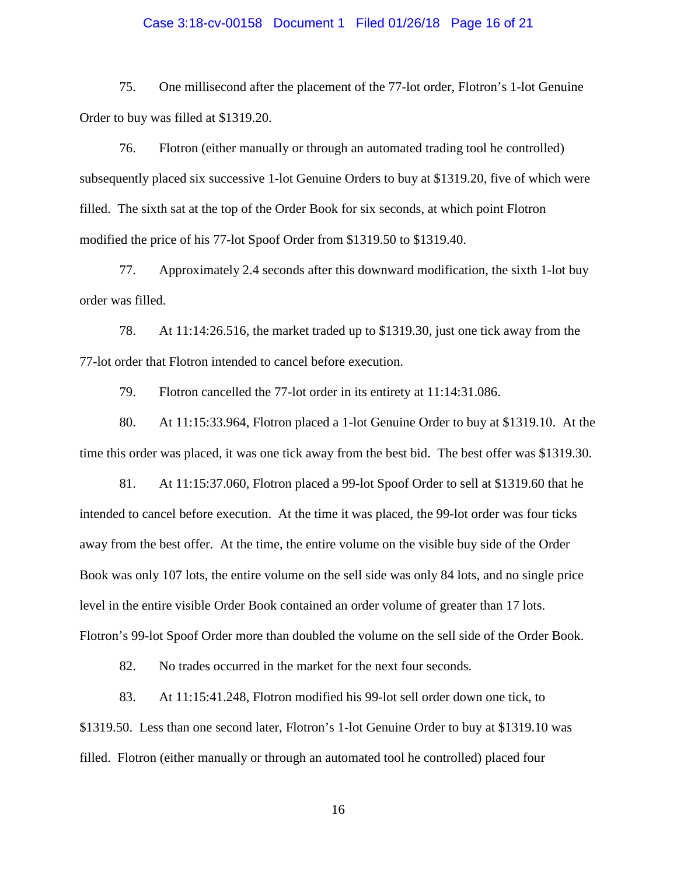#### Case 3:18-cv-00158 Document 1 Filed 01/26/18 Page 16 of 21

75. One millisecond after the placement of the 77-lot order, Flotron's 1-lot Genuine Order to buy was filled at \$1319.20.

76. Flotron (either manually or through an automated trading tool he controlled) subsequently placed six successive 1-lot Genuine Orders to buy at \$1319.20, five of which were filled. The sixth sat at the top of the Order Book for six seconds, at which point Flotron modified the price of his 77-lot Spoof Order from \$1319.50 to \$1319.40.

77. Approximately 2.4 seconds after this downward modification, the sixth 1-lot buy order was filled.

78. At 11:14:26.516, the market traded up to \$1319.30, just one tick away from the 77-lot order that Flotron intended to cancel before execution.

79. Flotron cancelled the 77-lot order in its entirety at 11:14:31.086.

80. At 11:15:33.964, Flotron placed a 1-lot Genuine Order to buy at \$1319.10. At the time this order was placed, it was one tick away from the best bid. The best offer was \$1319.30.

81. At 11:15:37.060, Flotron placed a 99-lot Spoof Order to sell at \$1319.60 that he intended to cancel before execution. At the time it was placed, the 99-lot order was four ticks away from the best offer. At the time, the entire volume on the visible buy side of the Order Book was only 107 lots, the entire volume on the sell side was only 84 lots, and no single price level in the entire visible Order Book contained an order volume of greater than 17 lots. Flotron's 99-lot Spoof Order more than doubled the volume on the sell side of the Order Book.

82. No trades occurred in the market for the next four seconds.

83. At 11:15:41.248, Flotron modified his 99-lot sell order down one tick, to \$1319.50. Less than one second later, Flotron's 1-lot Genuine Order to buy at \$1319.10 was filled. Flotron (either manually or through an automated tool he controlled) placed four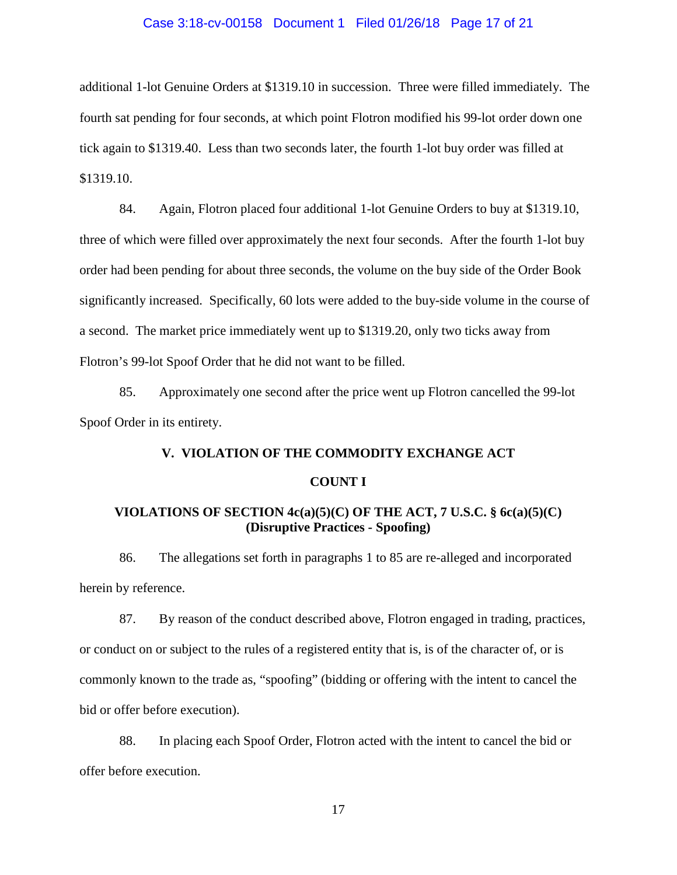#### Case 3:18-cv-00158 Document 1 Filed 01/26/18 Page 17 of 21

additional 1-lot Genuine Orders at \$1319.10 in succession. Three were filled immediately. The fourth sat pending for four seconds, at which point Flotron modified his 99-lot order down one tick again to \$1319.40. Less than two seconds later, the fourth 1-lot buy order was filled at \$1319.10.

84. Again, Flotron placed four additional 1-lot Genuine Orders to buy at \$1319.10, three of which were filled over approximately the next four seconds. After the fourth 1-lot buy order had been pending for about three seconds, the volume on the buy side of the Order Book significantly increased. Specifically, 60 lots were added to the buy-side volume in the course of a second. The market price immediately went up to \$1319.20, only two ticks away from Flotron's 99-lot Spoof Order that he did not want to be filled.

85. Approximately one second after the price went up Flotron cancelled the 99-lot Spoof Order in its entirety.

### **V. VIOLATION OF THE COMMODITY EXCHANGE ACT**

#### **COUNT I**

# **VIOLATIONS OF SECTION 4c(a)(5)(C) OF THE ACT, 7 U.S.C. § 6c(a)(5)(C) (Disruptive Practices - Spoofing)**

86. The allegations set forth in paragraphs 1 to 85 are re-alleged and incorporated herein by reference.

87. By reason of the conduct described above, Flotron engaged in trading, practices, or conduct on or subject to the rules of a registered entity that is, is of the character of, or is commonly known to the trade as, "spoofing" (bidding or offering with the intent to cancel the bid or offer before execution).

88. In placing each Spoof Order, Flotron acted with the intent to cancel the bid or offer before execution.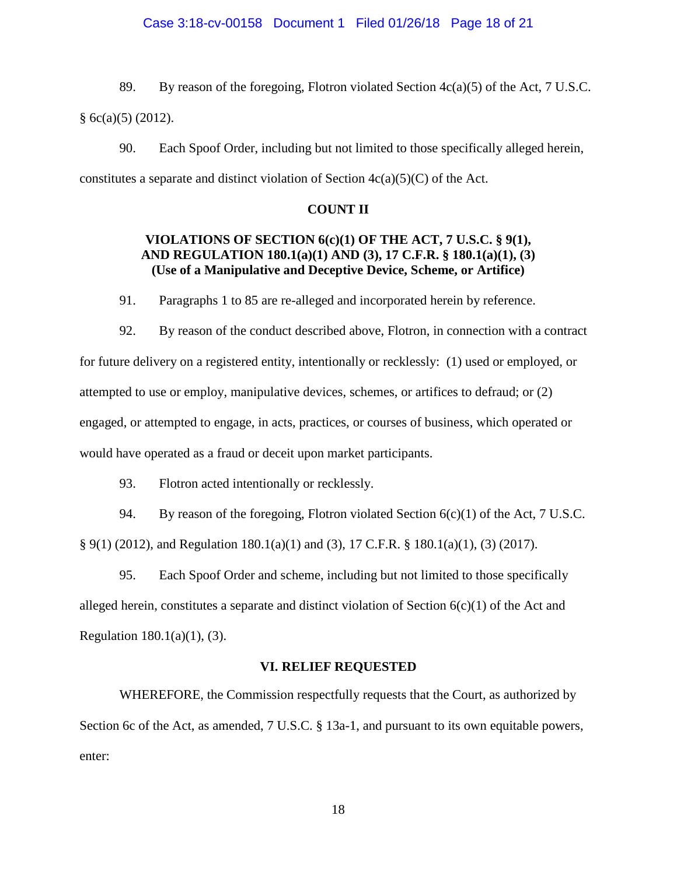### Case 3:18-cv-00158 Document 1 Filed 01/26/18 Page 18 of 21

89. By reason of the foregoing, Flotron violated Section  $4c(a)(5)$  of the Act, 7 U.S.C.  $§ 6c(a)(5) (2012).$ 

90. Each Spoof Order, including but not limited to those specifically alleged herein, constitutes a separate and distinct violation of Section  $4c(a)(5)(C)$  of the Act.

#### **COUNT II**

# **VIOLATIONS OF SECTION 6(c)(1) OF THE ACT, 7 U.S.C. § 9(1), AND REGULATION 180.1(a)(1) AND (3), 17 C.F.R. § 180.1(a)(1), (3) (Use of a Manipulative and Deceptive Device, Scheme, or Artifice)**

91. Paragraphs 1 to 85 are re-alleged and incorporated herein by reference.

92. By reason of the conduct described above, Flotron, in connection with a contract for future delivery on a registered entity, intentionally or recklessly: (1) used or employed, or attempted to use or employ, manipulative devices, schemes, or artifices to defraud; or (2) engaged, or attempted to engage, in acts, practices, or courses of business, which operated or would have operated as a fraud or deceit upon market participants.

93. Flotron acted intentionally or recklessly.

94. By reason of the foregoing, Flotron violated Section  $6(c)(1)$  of the Act, 7 U.S.C. § 9(1) (2012), and Regulation 180.1(a)(1) and (3), 17 C.F.R. § 180.1(a)(1), (3) (2017).

95. Each Spoof Order and scheme, including but not limited to those specifically alleged herein, constitutes a separate and distinct violation of Section  $6(c)(1)$  of the Act and Regulation  $180.1(a)(1)$ , (3).

#### **VI. RELIEF REQUESTED**

WHEREFORE, the Commission respectfully requests that the Court, as authorized by Section 6c of the Act, as amended, 7 U.S.C. § 13a-1, and pursuant to its own equitable powers, enter: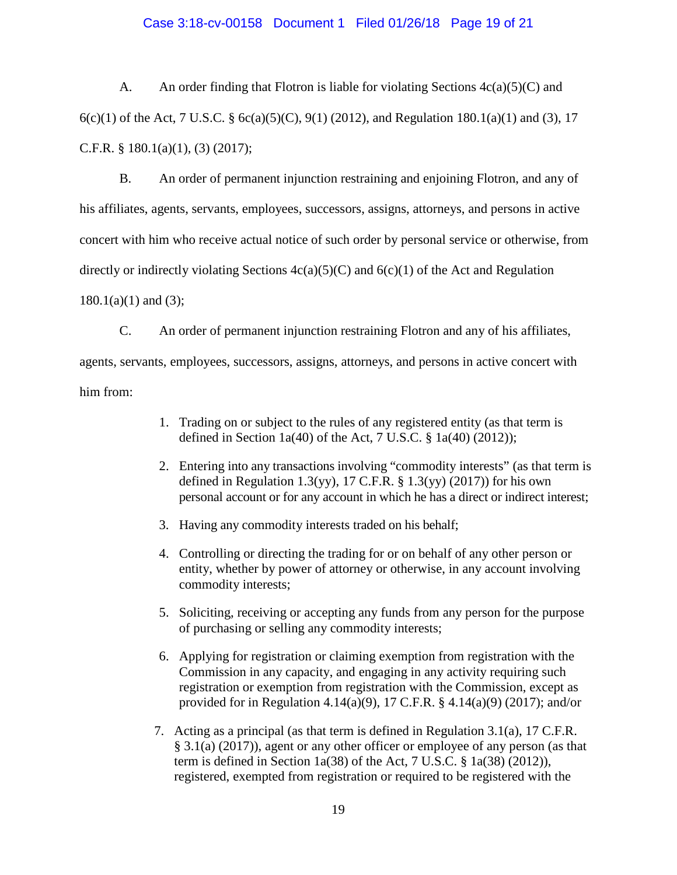### Case 3:18-cv-00158 Document 1 Filed 01/26/18 Page 19 of 21

A. An order finding that Flotron is liable for violating Sections  $4c(a)(5)(C)$  and 6(c)(1) of the Act, 7 U.S.C. § 6c(a)(5)(C), 9(1) (2012), and Regulation 180.1(a)(1) and (3), 17 C.F.R. § 180.1(a)(1), (3) (2017);

B. An order of permanent injunction restraining and enjoining Flotron, and any of his affiliates, agents, servants, employees, successors, assigns, attorneys, and persons in active concert with him who receive actual notice of such order by personal service or otherwise, from directly or indirectly violating Sections  $4c(a)(5)(C)$  and  $6(c)(1)$  of the Act and Regulation  $180.1(a)(1)$  and  $(3)$ ;

C. An order of permanent injunction restraining Flotron and any of his affiliates, agents, servants, employees, successors, assigns, attorneys, and persons in active concert with him from:

- 1. Trading on or subject to the rules of any registered entity (as that term is defined in Section 1a(40) of the Act, 7 U.S.C.  $\S$  1a(40) (2012));
- 2. Entering into any transactions involving "commodity interests" (as that term is defined in Regulation 1.3(yy), 17 C.F.R.  $\S$  1.3(yy) (2017)) for his own personal account or for any account in which he has a direct or indirect interest;
- 3. Having any commodity interests traded on his behalf;
- 4. Controlling or directing the trading for or on behalf of any other person or entity, whether by power of attorney or otherwise, in any account involving commodity interests;
- 5. Soliciting, receiving or accepting any funds from any person for the purpose of purchasing or selling any commodity interests;
- 6. Applying for registration or claiming exemption from registration with the Commission in any capacity, and engaging in any activity requiring such registration or exemption from registration with the Commission, except as provided for in Regulation 4.14(a)(9), 17 C.F.R. § 4.14(a)(9) (2017); and/or
- 7. Acting as a principal (as that term is defined in Regulation 3.1(a), 17 C.F.R. § 3.1(a) (2017)), agent or any other officer or employee of any person (as that term is defined in Section 1a(38) of the Act, 7 U.S.C. § 1a(38) (2012)), registered, exempted from registration or required to be registered with the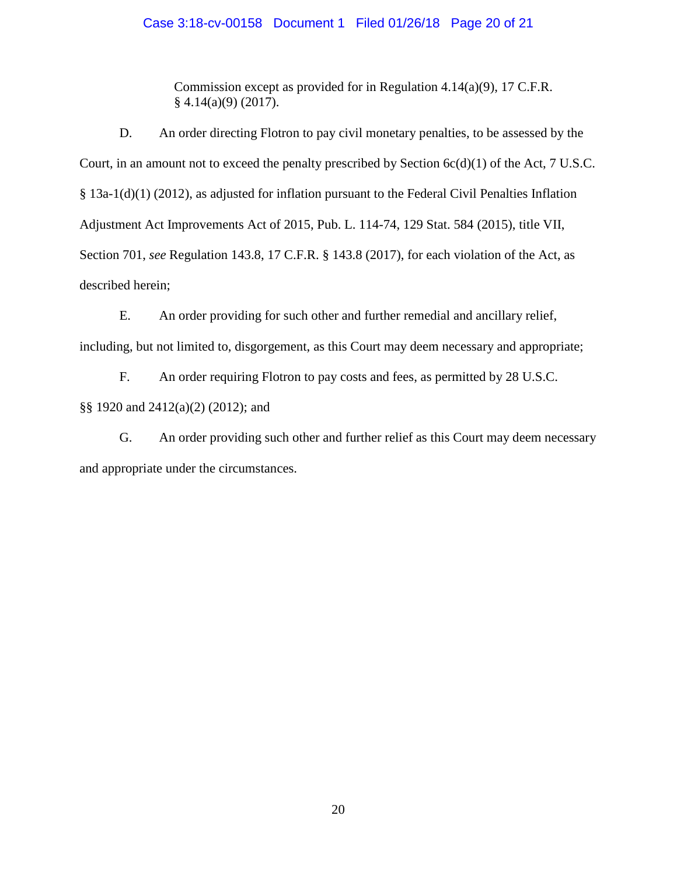# Case 3:18-cv-00158 Document 1 Filed 01/26/18 Page 20 of 21

Commission except as provided for in Regulation 4.14(a)(9), 17 C.F.R. § 4.14(a)(9) (2017).

D. An order directing Flotron to pay civil monetary penalties, to be assessed by the Court, in an amount not to exceed the penalty prescribed by Section  $6c(d)(1)$  of the Act, 7 U.S.C. § 13a-1(d)(1) (2012), as adjusted for inflation pursuant to the Federal Civil Penalties Inflation Adjustment Act Improvements Act of 2015, Pub. L. 114-74, 129 Stat. 584 (2015), title VII, Section 701, *see* Regulation 143.8, 17 C.F.R. § 143.8 (2017), for each violation of the Act, as described herein;

E. An order providing for such other and further remedial and ancillary relief, including, but not limited to, disgorgement, as this Court may deem necessary and appropriate;

F. An order requiring Flotron to pay costs and fees, as permitted by 28 U.S.C. §§ 1920 and 2412(a)(2) (2012); and

G. An order providing such other and further relief as this Court may deem necessary and appropriate under the circumstances.